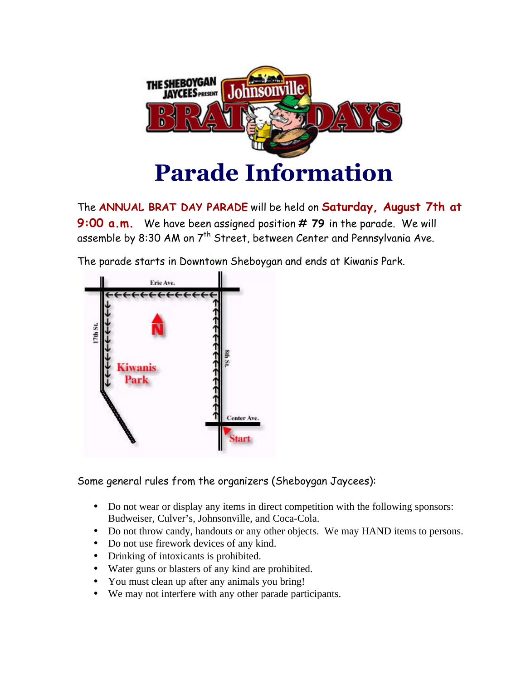

The **ANNUAL BRAT DAY PARADE** will be held on **Saturday, August 7th at 9:00 a.m.** We have been assigned position **# 79** in the parade. We will assemble by 8:30 AM on 7<sup>th</sup> Street, between Center and Pennsylvania Ave.

The parade starts in Downtown Sheboygan and ends at Kiwanis Park.



Some general rules from the organizers (Sheboygan Jaycees):

- Do not wear or display any items in direct competition with the following sponsors: Budweiser, Culver's, Johnsonville, and Coca-Cola.
- Do not throw candy, handouts or any other objects. We may HAND items to persons.
- Do not use firework devices of any kind.
- Drinking of intoxicants is prohibited.
- Water guns or blasters of any kind are prohibited.
- You must clean up after any animals you bring!
- We may not interfere with any other parade participants.